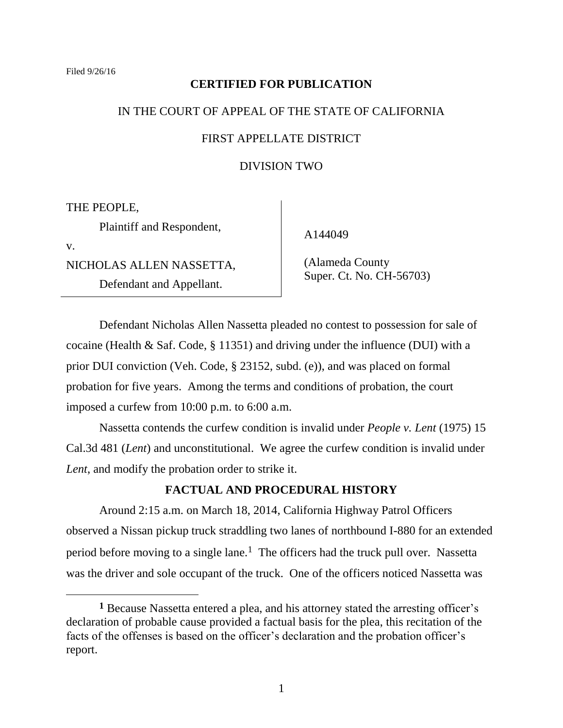### **CERTIFIED FOR PUBLICATION**

# IN THE COURT OF APPEAL OF THE STATE OF CALIFORNIA

## FIRST APPELLATE DISTRICT

## DIVISION TWO

THE PEOPLE,

Plaintiff and Respondent,

v.

 $\overline{a}$ 

NICHOLAS ALLEN NASSETTA,

Defendant and Appellant.

A144049

 (Alameda County Super. Ct. No. CH-56703)

Defendant Nicholas Allen Nassetta pleaded no contest to possession for sale of cocaine (Health & Saf. Code, § 11351) and driving under the influence (DUI) with a prior DUI conviction (Veh. Code, § 23152, subd. (e)), and was placed on formal probation for five years. Among the terms and conditions of probation, the court imposed a curfew from 10:00 p.m. to 6:00 a.m.

Nassetta contends the curfew condition is invalid under *People v. Lent* (1975) 15 Cal.3d 481 (*Lent*) and unconstitutional. We agree the curfew condition is invalid under *Lent*, and modify the probation order to strike it.

### **FACTUAL AND PROCEDURAL HISTORY**

Around 2:15 a.m. on March 18, 2014, California Highway Patrol Officers observed a Nissan pickup truck straddling two lanes of northbound I-880 for an extended period before moving to a single lane.<sup>1</sup> The officers had the truck pull over. Nassetta was the driver and sole occupant of the truck. One of the officers noticed Nassetta was

**<sup>1</sup>** Because Nassetta entered a plea, and his attorney stated the arresting officer's declaration of probable cause provided a factual basis for the plea, this recitation of the facts of the offenses is based on the officer's declaration and the probation officer's report.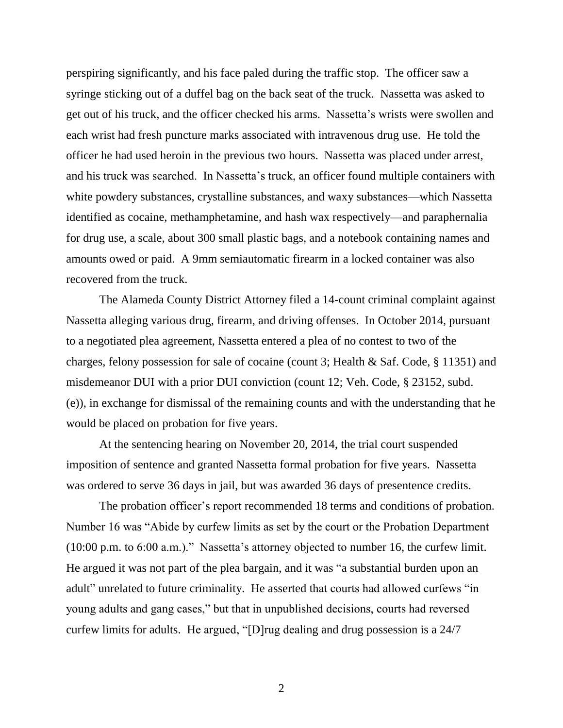perspiring significantly, and his face paled during the traffic stop. The officer saw a syringe sticking out of a duffel bag on the back seat of the truck. Nassetta was asked to get out of his truck, and the officer checked his arms. Nassetta's wrists were swollen and each wrist had fresh puncture marks associated with intravenous drug use. He told the officer he had used heroin in the previous two hours. Nassetta was placed under arrest, and his truck was searched. In Nassetta's truck, an officer found multiple containers with white powdery substances, crystalline substances, and waxy substances—which Nassetta identified as cocaine, methamphetamine, and hash wax respectively—and paraphernalia for drug use, a scale, about 300 small plastic bags, and a notebook containing names and amounts owed or paid. A 9mm semiautomatic firearm in a locked container was also recovered from the truck.

The Alameda County District Attorney filed a 14-count criminal complaint against Nassetta alleging various drug, firearm, and driving offenses. In October 2014, pursuant to a negotiated plea agreement, Nassetta entered a plea of no contest to two of the charges, felony possession for sale of cocaine (count 3; Health & Saf. Code, § 11351) and misdemeanor DUI with a prior DUI conviction (count 12; Veh. Code, § 23152, subd. (e)), in exchange for dismissal of the remaining counts and with the understanding that he would be placed on probation for five years.

At the sentencing hearing on November 20, 2014, the trial court suspended imposition of sentence and granted Nassetta formal probation for five years. Nassetta was ordered to serve 36 days in jail, but was awarded 36 days of presentence credits.

The probation officer's report recommended 18 terms and conditions of probation. Number 16 was "Abide by curfew limits as set by the court or the Probation Department  $(10:00 \text{ p.m. to } 6:00 \text{ a.m.})$ ." Nassetta's attorney objected to number 16, the curfew limit. He argued it was not part of the plea bargain, and it was "a substantial burden upon an adult" unrelated to future criminality. He asserted that courts had allowed curfews "in young adults and gang cases," but that in unpublished decisions, courts had reversed curfew limits for adults. He argued, " $[D]$ rug dealing and drug possession is a 24/7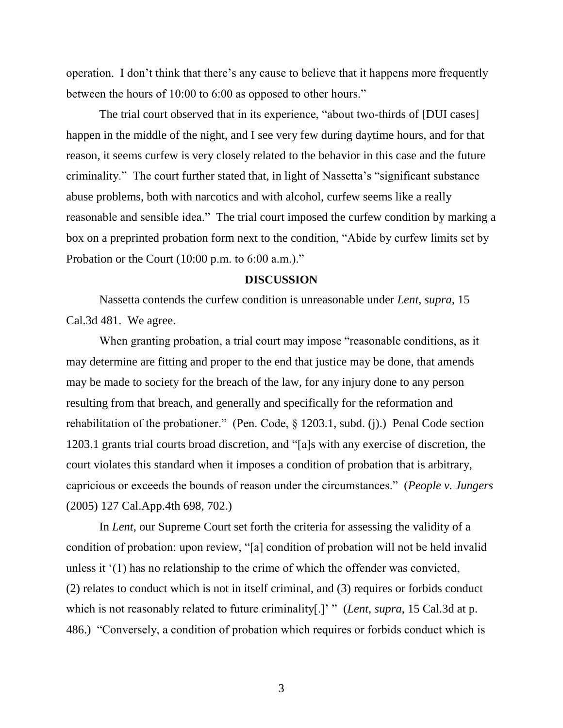operation. I don't think that there's any cause to believe that it happens more frequently between the hours of 10:00 to 6:00 as opposed to other hours."

The trial court observed that in its experience, "about two-thirds of [DUI cases] happen in the middle of the night, and I see very few during daytime hours, and for that reason, it seems curfew is very closely related to the behavior in this case and the future criminality." The court further stated that, in light of Nassetta's "significant substance abuse problems, both with narcotics and with alcohol, curfew seems like a really reasonable and sensible idea." The trial court imposed the curfew condition by marking a box on a preprinted probation form next to the condition, "Abide by curfew limits set by Probation or the Court  $(10:00 \text{ p.m. to } 6:00 \text{ a.m.})$ ."

#### **DISCUSSION**

Nassetta contends the curfew condition is unreasonable under *Lent*, *supra*, 15 Cal.3d 481. We agree.

When granting probation, a trial court may impose "reasonable conditions, as it may determine are fitting and proper to the end that justice may be done, that amends may be made to society for the breach of the law, for any injury done to any person resulting from that breach, and generally and specifically for the reformation and rehabilitation of the probationer." (Pen. Code,  $\S$  1203.1, subd. (j).) Penal Code section 1203.1 grants trial courts broad discretion, and "[a]s with any exercise of discretion, the court violates this standard when it imposes a condition of probation that is arbitrary, capricious or exceeds the bounds of reason under the circumstances.‖ (*People v. Jungers* (2005) 127 Cal.App.4th 698, 702.)

In *Lent*, our Supreme Court set forth the criteria for assessing the validity of a condition of probation: upon review, "[a] condition of probation will not be held invalid unless it ‗(1) has no relationship to the crime of which the offender was convicted, (2) relates to conduct which is not in itself criminal, and (3) requires or forbids conduct which is not reasonably related to future criminality[.]' " (*Lent*, *supra*, 15 Cal.3d at p. 486.) "Conversely, a condition of probation which requires or forbids conduct which is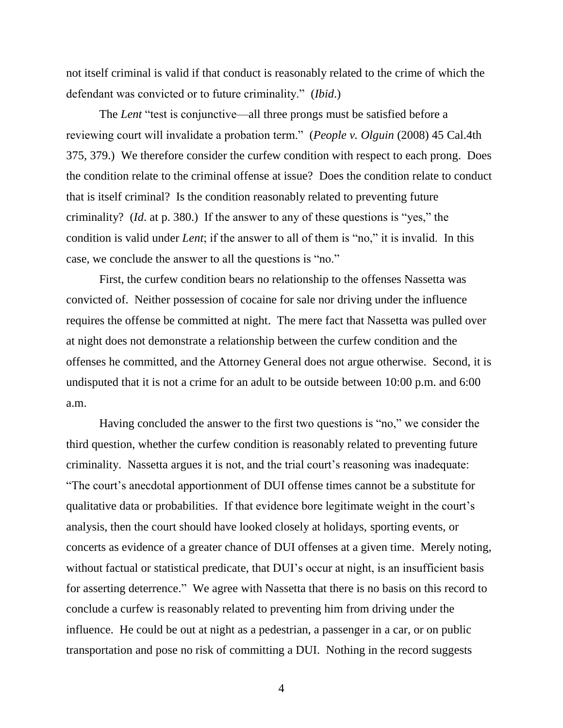not itself criminal is valid if that conduct is reasonably related to the crime of which the defendant was convicted or to future criminality." *(Ibid.)* 

The *Lent* "test is conjunctive—all three prongs must be satisfied before a reviewing court will invalidate a probation term.‖ (*People v. Olguin* (2008) 45 Cal.4th 375, 379.) We therefore consider the curfew condition with respect to each prong. Does the condition relate to the criminal offense at issue? Does the condition relate to conduct that is itself criminal? Is the condition reasonably related to preventing future criminality? (*Id.* at p. 380.) If the answer to any of these questions is "yes," the condition is valid under *Lent*; if the answer to all of them is "no," it is invalid. In this case, we conclude the answer to all the questions is "no."

First, the curfew condition bears no relationship to the offenses Nassetta was convicted of. Neither possession of cocaine for sale nor driving under the influence requires the offense be committed at night. The mere fact that Nassetta was pulled over at night does not demonstrate a relationship between the curfew condition and the offenses he committed, and the Attorney General does not argue otherwise. Second, it is undisputed that it is not a crime for an adult to be outside between 10:00 p.m. and 6:00 a.m.

Having concluded the answer to the first two questions is "no," we consider the third question, whether the curfew condition is reasonably related to preventing future criminality. Nassetta argues it is not, and the trial court's reasoning was inadequate: ―The court's anecdotal apportionment of DUI offense times cannot be a substitute for qualitative data or probabilities. If that evidence bore legitimate weight in the court's analysis, then the court should have looked closely at holidays, sporting events, or concerts as evidence of a greater chance of DUI offenses at a given time. Merely noting, without factual or statistical predicate, that DUI's occur at night, is an insufficient basis for asserting deterrence." We agree with Nassetta that there is no basis on this record to conclude a curfew is reasonably related to preventing him from driving under the influence. He could be out at night as a pedestrian, a passenger in a car, or on public transportation and pose no risk of committing a DUI. Nothing in the record suggests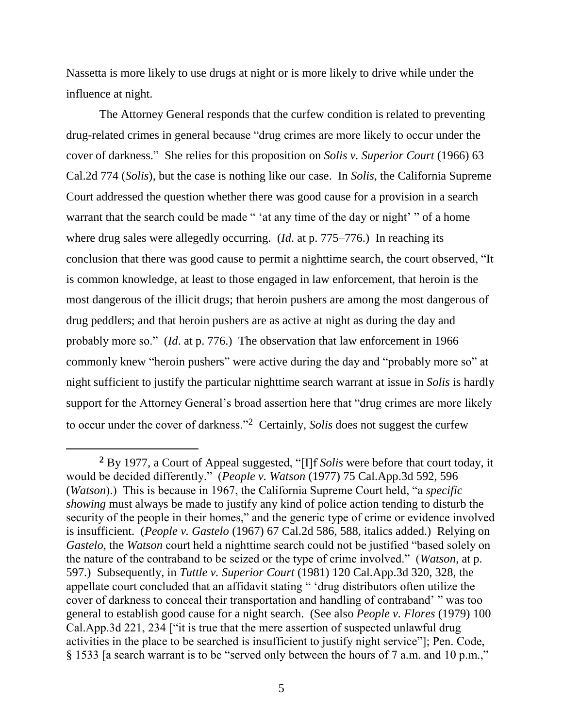Nassetta is more likely to use drugs at night or is more likely to drive while under the influence at night.

The Attorney General responds that the curfew condition is related to preventing drug-related crimes in general because "drug crimes are more likely to occur under the cover of darkness.‖ She relies for this proposition on *Solis v. Superior Court* (1966) 63 Cal.2d 774 (*Solis*), but the case is nothing like our case. In *Solis*, the California Supreme Court addressed the question whether there was good cause for a provision in a search warrant that the search could be made " 'at any time of the day or night' " of a home where drug sales were allegedly occurring. (*Id.* at p. 775–776.) In reaching its conclusion that there was good cause to permit a nighttime search, the court observed, "It is common knowledge, at least to those engaged in law enforcement, that heroin is the most dangerous of the illicit drugs; that heroin pushers are among the most dangerous of drug peddlers; and that heroin pushers are as active at night as during the day and probably more so." (*Id.* at p. 776.) The observation that law enforcement in 1966 commonly knew "heroin pushers" were active during the day and "probably more so" at night sufficient to justify the particular nighttime search warrant at issue in *Solis* is hardly support for the Attorney General's broad assertion here that "drug crimes are more likely to occur under the cover of darkness."<sup>2</sup> Certainly, *Solis* does not suggest the curfew

<sup>&</sup>lt;sup>2</sup> By 1977, a Court of Appeal suggested, "[I]f *Solis* were before that court today, it would be decided differently.‖ (*People v. Watson* (1977) 75 Cal.App.3d 592, 596 (*Watson*).) This is because in 1967, the California Supreme Court held, "a *specific showing* must always be made to justify any kind of police action tending to disturb the security of the people in their homes," and the generic type of crime or evidence involved is insufficient. (*People v. Gastelo* (1967) 67 Cal.2d 586, 588, italics added.) Relying on *Gastelo*, the *Watson* court held a nighttime search could not be justified "based solely on the nature of the contraband to be seized or the type of crime involved." (*Watson*, at p. 597.) Subsequently, in *Tuttle v. Superior Court* (1981) 120 Cal.App.3d 320, 328, the appellate court concluded that an affidavit stating " 'drug distributors often utilize the cover of darkness to conceal their transportation and handling of contraband' " was too general to establish good cause for a night search. (See also *People v. Flores* (1979) 100 Cal.App.3d 221, 234 ["it is true that the mere assertion of suspected unlawful drug activities in the place to be searched is insufficient to justify night service"]; Pen. Code, § 1533 [a search warrant is to be "served only between the hours of 7 a.m. and 10 p.m.,"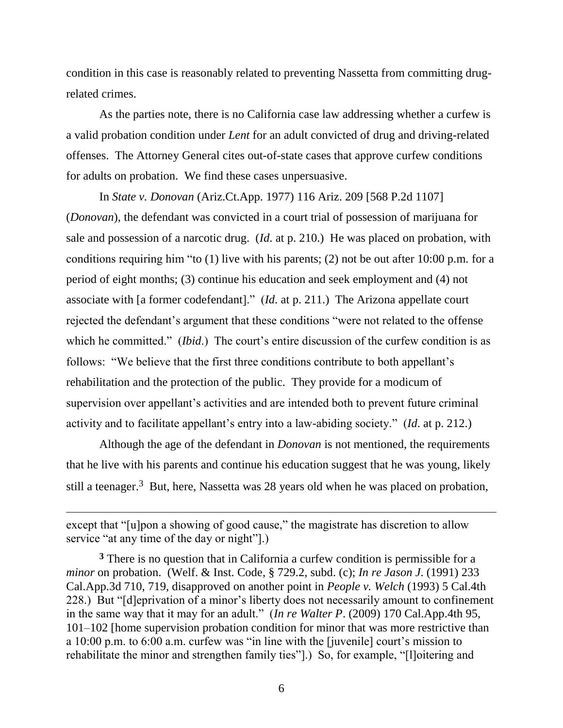condition in this case is reasonably related to preventing Nassetta from committing drugrelated crimes.

As the parties note, there is no California case law addressing whether a curfew is a valid probation condition under *Lent* for an adult convicted of drug and driving-related offenses. The Attorney General cites out-of-state cases that approve curfew conditions for adults on probation. We find these cases unpersuasive.

In *State v. Donovan* (Ariz.Ct.App. 1977) 116 Ariz. 209 [568 P.2d 1107] (*Donovan*), the defendant was convicted in a court trial of possession of marijuana for sale and possession of a narcotic drug. (*Id*. at p. 210.) He was placed on probation, with conditions requiring him "to (1) live with his parents; (2) not be out after 10:00 p.m. for a period of eight months; (3) continue his education and seek employment and (4) not associate with [a former codefendant]." (*Id.* at p. 211.) The Arizona appellate court rejected the defendant's argument that these conditions "were not related to the offense which he committed." *(Ibid.)* The court's entire discussion of the curfew condition is as follows: "We believe that the first three conditions contribute to both appellant's rehabilitation and the protection of the public. They provide for a modicum of supervision over appellant's activities and are intended both to prevent future criminal activity and to facilitate appellant's entry into a law-abiding society." (*Id.* at p. 212.)

Although the age of the defendant in *Donovan* is not mentioned, the requirements that he live with his parents and continue his education suggest that he was young, likely still a teenager.<sup>3</sup> But, here, Nassetta was 28 years old when he was placed on probation,

 $\overline{a}$ 

except that "[u]pon a showing of good cause," the magistrate has discretion to allow service "at any time of the day or night"].)

**<sup>3</sup>** There is no question that in California a curfew condition is permissible for a *minor* on probation. (Welf. & Inst. Code, § 729.2, subd. (c); *In re Jason J*. (1991) 233 Cal.App.3d 710, 719, disapproved on another point in *People v. Welch* (1993) 5 Cal.4th 228.) But "[d]eprivation of a minor's liberty does not necessarily amount to confinement in the same way that it may for an adult." (*In re Walter P*. (2009) 170 Cal.App.4th 95, 101–102 [home supervision probation condition for minor that was more restrictive than a  $10:00$  p.m. to  $6:00$  a.m. curfew was "in line with the [juvenile] court's mission to rehabilitate the minor and strengthen family ties"].) So, for example, "[l]oitering and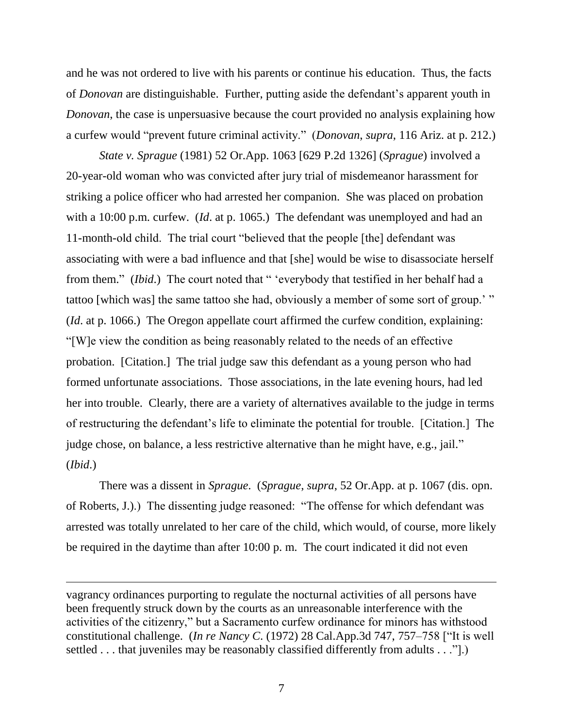and he was not ordered to live with his parents or continue his education. Thus, the facts of *Donovan* are distinguishable. Further, putting aside the defendant's apparent youth in *Donovan*, the case is unpersuasive because the court provided no analysis explaining how a curfew would "prevent future criminal activity." (*Donovan*, *supra*, 116 Ariz. at p. 212.)

*State v. Sprague* (1981) 52 Or.App. 1063 [629 P.2d 1326] (*Sprague*) involved a 20-year-old woman who was convicted after jury trial of misdemeanor harassment for striking a police officer who had arrested her companion. She was placed on probation with a 10:00 p.m. curfew. (*Id*. at p. 1065.) The defendant was unemployed and had an 11-month-old child. The trial court "believed that the people [the] defendant was associating with were a bad influence and that [she] would be wise to disassociate herself from them." *(Ibid.)* The court noted that " 'everybody that testified in her behalf had a tattoo [which was] the same tattoo she had, obviously a member of some sort of group.'" (*Id*. at p. 1066.) The Oregon appellate court affirmed the curfew condition, explaining: ―[W]e view the condition as being reasonably related to the needs of an effective probation. [Citation.] The trial judge saw this defendant as a young person who had formed unfortunate associations. Those associations, in the late evening hours, had led her into trouble. Clearly, there are a variety of alternatives available to the judge in terms of restructuring the defendant's life to eliminate the potential for trouble. [Citation.] The judge chose, on balance, a less restrictive alternative than he might have, e.g., jail." (*Ibid*.)

There was a dissent in *Sprague*. (*Sprague*, *supra*, 52 Or.App. at p. 1067 (dis. opn. of Roberts, J.).) The dissenting judge reasoned: "The offense for which defendant was arrested was totally unrelated to her care of the child, which would, of course, more likely be required in the daytime than after 10:00 p. m. The court indicated it did not even

vagrancy ordinances purporting to regulate the nocturnal activities of all persons have been frequently struck down by the courts as an unreasonable interference with the activities of the citizenry," but a Sacramento curfew ordinance for minors has withstood constitutional challenge. (*In re Nancy C*. (1972) 28 Cal.App.3d 747, 757–758 ["It is well settled . . . that juveniles may be reasonably classified differently from adults . . ."[.]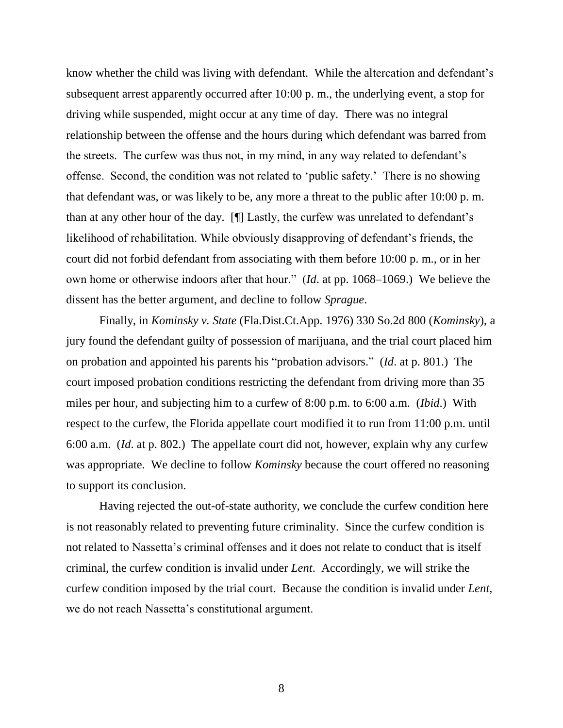know whether the child was living with defendant. While the altercation and defendant's subsequent arrest apparently occurred after 10:00 p. m., the underlying event, a stop for driving while suspended, might occur at any time of day. There was no integral relationship between the offense and the hours during which defendant was barred from the streets. The curfew was thus not, in my mind, in any way related to defendant's offense. Second, the condition was not related to 'public safety.' There is no showing that defendant was, or was likely to be, any more a threat to the public after 10:00 p. m. than at any other hour of the day. [¶] Lastly, the curfew was unrelated to defendant's likelihood of rehabilitation. While obviously disapproving of defendant's friends, the court did not forbid defendant from associating with them before 10:00 p. m., or in her own home or otherwise indoors after that hour." (*Id.* at pp. 1068–1069.) We believe the dissent has the better argument, and decline to follow *Sprague*.

Finally, in *Kominsky v. State* (Fla.Dist.Ct.App. 1976) 330 So.2d 800 (*Kominsky*), a jury found the defendant guilty of possession of marijuana, and the trial court placed him on probation and appointed his parents his "probation advisors." (*Id.* at p. 801.) The court imposed probation conditions restricting the defendant from driving more than 35 miles per hour, and subjecting him to a curfew of 8:00 p.m. to 6:00 a.m. (*Ibid*.) With respect to the curfew, the Florida appellate court modified it to run from 11:00 p.m. until 6:00 a.m. (*Id*. at p. 802.) The appellate court did not, however, explain why any curfew was appropriate. We decline to follow *Kominsky* because the court offered no reasoning to support its conclusion.

Having rejected the out-of-state authority, we conclude the curfew condition here is not reasonably related to preventing future criminality. Since the curfew condition is not related to Nassetta's criminal offenses and it does not relate to conduct that is itself criminal, the curfew condition is invalid under *Lent*. Accordingly, we will strike the curfew condition imposed by the trial court. Because the condition is invalid under *Lent*, we do not reach Nassetta's constitutional argument.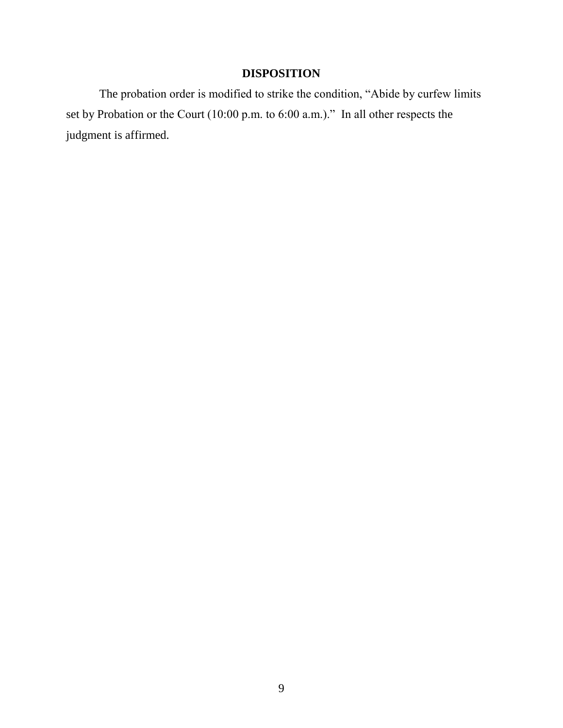# **DISPOSITION**

The probation order is modified to strike the condition, "Abide by curfew limits set by Probation or the Court  $(10:00 \text{ p.m. to } 6:00 \text{ a.m.})$ ." In all other respects the judgment is affirmed.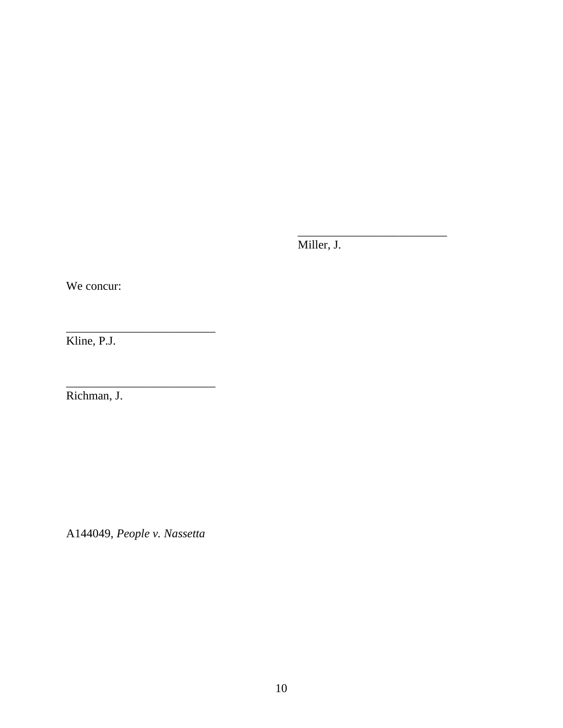Miller, J.

\_\_\_\_\_\_\_\_\_\_\_\_\_\_\_\_\_\_\_\_\_\_\_\_\_

We concur:

Kline, P.J.

Richman, J.

A144049, *People v. Nassetta*

\_\_\_\_\_\_\_\_\_\_\_\_\_\_\_\_\_\_\_\_\_\_\_\_\_

\_\_\_\_\_\_\_\_\_\_\_\_\_\_\_\_\_\_\_\_\_\_\_\_\_